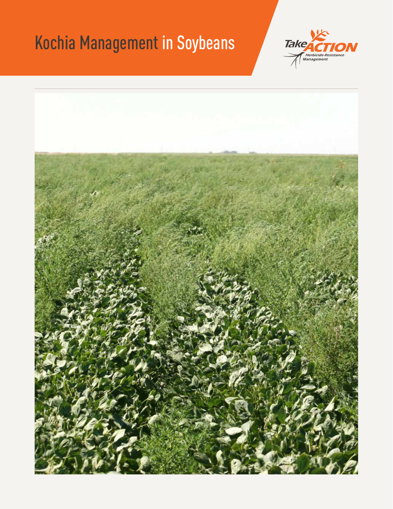# Kochia Management in Soybeans



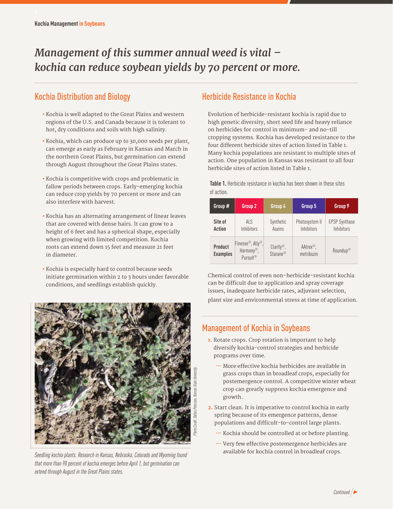# *Management of this summer annual weed is vital – kochia can reduce soybean yields by 70 percent or more.*

# Kochia Distribution and Biology

- **•** Kochia is well adapted to the Great Plains and western regions of the U.S. and Canada because it is tolerant to hot, dry conditions and soils with high salinity.
- **•** Kochia, which can produce up to 30,000 seeds per plant, can emerge as early as February in Kansas and March in the northern Great Plains, but germination can extend through August throughout the Great Plains states.
- **•** Kochia is competitive with crops and problematic in fallow periods between crops. Early-emerging kochia can reduce crop yields by 70 percent or more and can also interfere with harvest.
- **•** Kochia has an alternating arrangement of linear leaves that are covered with dense hairs. It can grow to a height of 6 feet and has a spherical shape, especially when growing with limited competition. Kochia roots can extend down 15 feet and measure 21 feet in diameter.
- **•** Kochia is especially hard to control because seeds initiate germination within 2 to 3 hours under favorable conditions, and seedlings establish quickly.



*Seedling kochia plants. Research in Kansas, Nebraska, Colorado and Wyoming found that more than 90 percent of kochia emerges before April 1, but germination can extend through August in the Great Plains states.*

## Herbicide Resistance in Kochia

Evolution of herbicide-resistant kochia is rapid due to high genetic diversity, short seed life and heavy reliance on herbicides for control in minimum- and no-till cropping systems. Kochia has developed resistance to the four different herbicide sites of action listed in Table 1. Many kochia populations are resistant to multiple sites of action. One population in Kansas was resistant to all four herbicide sites of action listed in Table 1.

**Table 1.** Herbicide resistance in kochia has been shown in these sites of action.

| Group #                    | Group 2                                                                         | Group 4                                            | Group 5                             | Group 9                            |
|----------------------------|---------------------------------------------------------------------------------|----------------------------------------------------|-------------------------------------|------------------------------------|
| Site of<br><b>Action</b>   | AI S<br>Inhibitors                                                              | Synthetic<br>Auxins                                | Photosystem II<br>Inhibitors        | <b>EPSP Synthase</b><br>Inhibitors |
| Product<br><b>Examples</b> | Finesse <sup>®</sup> , Ally®,<br>Harmony <sup>®</sup> ,<br>Pursuit <sup>®</sup> | $Clarity^{\circledcirc}$ ,<br>Starane <sup>®</sup> | AAtrex <sup>®</sup> .<br>metribuzin | Roundup <sup>®</sup>               |

Chemical control of even non-herbicide-resistant kochia can be difficult due to application and spray coverage issues, inadequate herbicide rates, adjuvant selection, plant size and environmental stress at time of application.

### Management of Kochia in Soybeans

- **1.** Rotate crops. Crop rotation is important to help diversify kochia-control strategies and herbicide programs over time.
	- More effective kochia herbicides are available in grass crops than in broadleaf crops, especially for postemergence control. A competitive winter wheat crop can greatly suppress kochia emergence and growth.
- **2.** Start clean. It is imperative to control kochia in early spring because of its emergence patterns, dense populations and difficult-to-control large plants.
	- Kochia should be controlled at or before planting.
	- Very few effective postemergence herbicides are available for kochia control in broadleaf crops.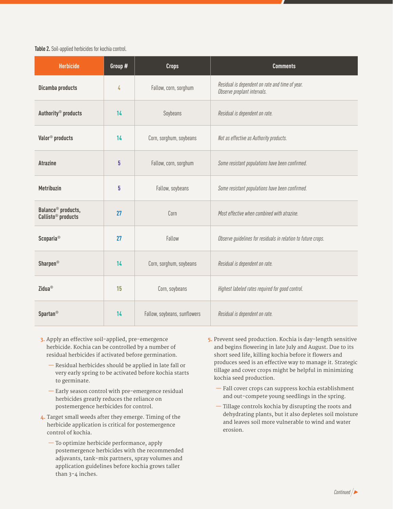#### **Table 2.** Soil-applied herbicides for kochia control.

| <b>Herbicide</b>                                                 | Group # | <b>Crops</b>                 | <b>Comments</b>                                                                |
|------------------------------------------------------------------|---------|------------------------------|--------------------------------------------------------------------------------|
| Dicamba products                                                 | 4       | Fallow, corn, sorghum        | Residual is dependent on rate and time of year.<br>Observe preplant intervals. |
| Authority <sup>®</sup> products                                  | 14      | Soybeans                     | Residual is dependent on rate.                                                 |
| Valor <sup>®</sup> products                                      | 14      | Corn, sorghum, soybeans      | Not as effective as Authority products.                                        |
| <b>Atrazine</b>                                                  | 5       | Fallow, corn, sorghum        | Some resistant populations have been confirmed.                                |
| <b>Metribuzin</b>                                                | 5       | Fallow, soybeans             | Some resistant populations have been confirmed.                                |
| Balance <sup>®</sup> products,<br>Callisto <sup>®</sup> products | 27      | Corn                         | Most effective when combined with atrazine.                                    |
| <b>Scoparia</b> <sup>®</sup>                                     | 27      | Fallow                       | Observe guidelines for residuals in relation to future crops.                  |
| <b>Sharpen<sup>®</sup></b>                                       | 14      | Corn, sorghum, soybeans      | Residual is dependent on rate.                                                 |
| Zidua <sup>®</sup>                                               | 15      | Corn, soybeans               | Highest labeled rates required for good control.                               |
| <b>Spartan<sup>®</sup></b>                                       | 14      | Fallow, soybeans, sunflowers | Residual is dependent on rate.                                                 |

- **3.** Apply an effective soil-applied, pre-emergence herbicide. Kochia can be controlled by a number of residual herbicides if activated before germination.
	- Residual herbicides should be applied in late fall or very early spring to be activated before kochia starts to germinate.
	- Early season control with pre-emergence residual herbicides greatly reduces the reliance on postemergence herbicides for control.
- **4.** Target small weeds after they emerge. Timing of the herbicide application is critical for postemergence control of kochia.
	- To optimize herbicide performance, apply postemergence herbicides with the recommended adjuvants, tank-mix partners, spray volumes and application guidelines before kochia grows taller than 3-4 inches.
- **5.** Prevent seed production. Kochia is day-length sensitive and begins flowering in late July and August. Due to its short seed life, killing kochia before it flowers and produces seed is an effective way to manage it. Strategic tillage and cover crops might be helpful in minimizing kochia seed production.
	- Fall cover crops can suppress kochia establishment and out-compete young seedlings in the spring.
	- Tillage controls kochia by disrupting the roots and dehydrating plants, but it also depletes soil moisture and leaves soil more vulnerable to wind and water erosion.